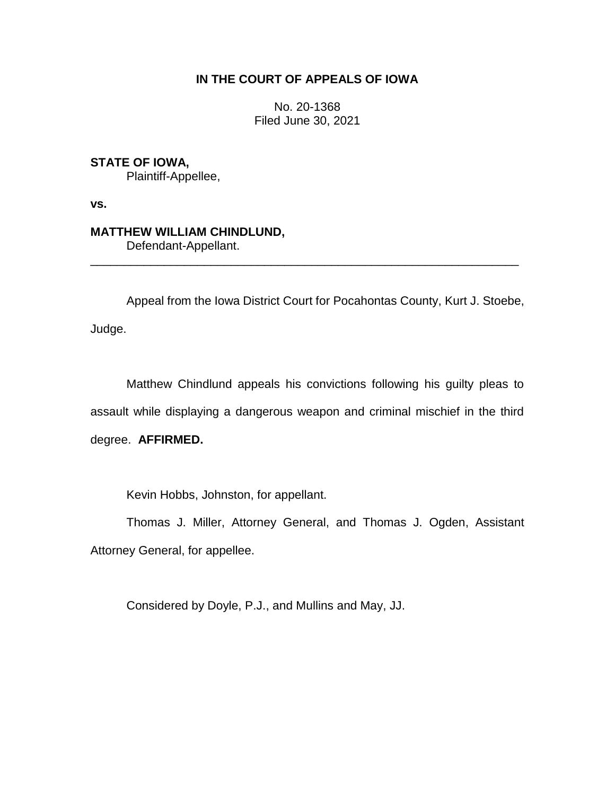# **IN THE COURT OF APPEALS OF IOWA**

No. 20-1368 Filed June 30, 2021

**STATE OF IOWA,** Plaintiff-Appellee,

**vs.**

**MATTHEW WILLIAM CHINDLUND,** Defendant-Appellant.

Appeal from the Iowa District Court for Pocahontas County, Kurt J. Stoebe,

\_\_\_\_\_\_\_\_\_\_\_\_\_\_\_\_\_\_\_\_\_\_\_\_\_\_\_\_\_\_\_\_\_\_\_\_\_\_\_\_\_\_\_\_\_\_\_\_\_\_\_\_\_\_\_\_\_\_\_\_\_\_\_\_

Judge.

Matthew Chindlund appeals his convictions following his guilty pleas to assault while displaying a dangerous weapon and criminal mischief in the third degree. **AFFIRMED.**

Kevin Hobbs, Johnston, for appellant.

Thomas J. Miller, Attorney General, and Thomas J. Ogden, Assistant Attorney General, for appellee.

Considered by Doyle, P.J., and Mullins and May, JJ.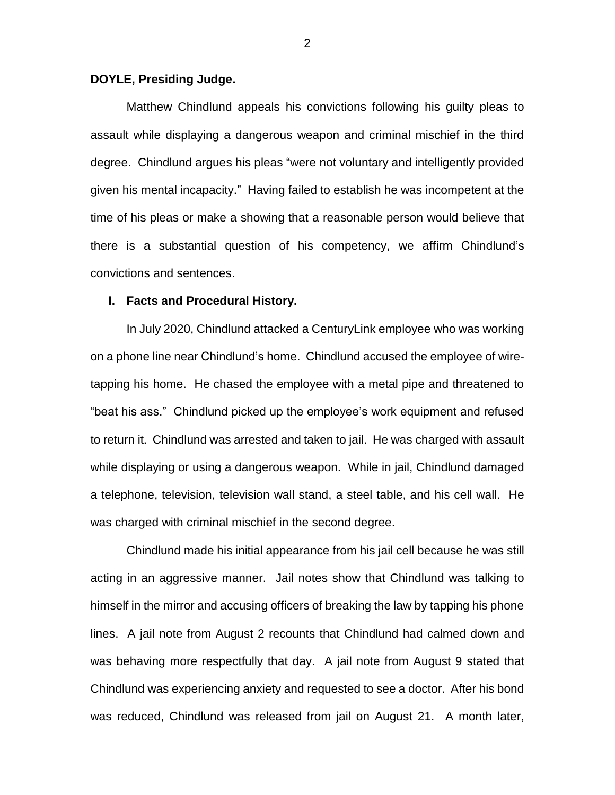## **DOYLE, Presiding Judge.**

Matthew Chindlund appeals his convictions following his guilty pleas to assault while displaying a dangerous weapon and criminal mischief in the third degree. Chindlund argues his pleas "were not voluntary and intelligently provided given his mental incapacity." Having failed to establish he was incompetent at the time of his pleas or make a showing that a reasonable person would believe that there is a substantial question of his competency, we affirm Chindlund's convictions and sentences.

## **I. Facts and Procedural History.**

In July 2020, Chindlund attacked a CenturyLink employee who was working on a phone line near Chindlund's home. Chindlund accused the employee of wiretapping his home. He chased the employee with a metal pipe and threatened to "beat his ass." Chindlund picked up the employee's work equipment and refused to return it. Chindlund was arrested and taken to jail. He was charged with assault while displaying or using a dangerous weapon. While in jail, Chindlund damaged a telephone, television, television wall stand, a steel table, and his cell wall. He was charged with criminal mischief in the second degree.

Chindlund made his initial appearance from his jail cell because he was still acting in an aggressive manner. Jail notes show that Chindlund was talking to himself in the mirror and accusing officers of breaking the law by tapping his phone lines. A jail note from August 2 recounts that Chindlund had calmed down and was behaving more respectfully that day. A jail note from August 9 stated that Chindlund was experiencing anxiety and requested to see a doctor. After his bond was reduced, Chindlund was released from jail on August 21. A month later,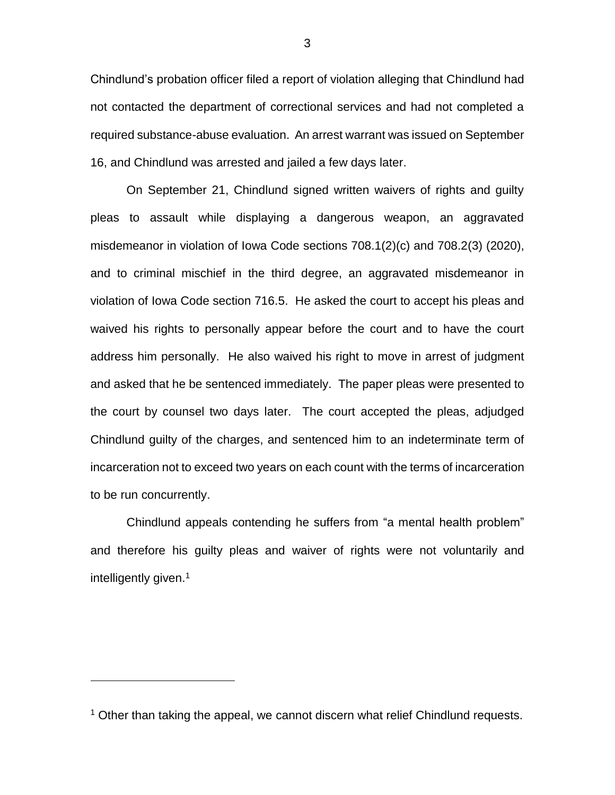Chindlund's probation officer filed a report of violation alleging that Chindlund had not contacted the department of correctional services and had not completed a required substance-abuse evaluation. An arrest warrant was issued on September 16, and Chindlund was arrested and jailed a few days later.

On September 21, Chindlund signed written waivers of rights and guilty pleas to assault while displaying a dangerous weapon, an aggravated misdemeanor in violation of Iowa Code sections 708.1(2)(c) and 708.2(3) (2020), and to criminal mischief in the third degree, an aggravated misdemeanor in violation of Iowa Code section 716.5. He asked the court to accept his pleas and waived his rights to personally appear before the court and to have the court address him personally. He also waived his right to move in arrest of judgment and asked that he be sentenced immediately. The paper pleas were presented to the court by counsel two days later. The court accepted the pleas, adjudged Chindlund guilty of the charges, and sentenced him to an indeterminate term of incarceration not to exceed two years on each count with the terms of incarceration to be run concurrently.

Chindlund appeals contending he suffers from "a mental health problem" and therefore his guilty pleas and waiver of rights were not voluntarily and intelligently given.<sup>1</sup>

 $\overline{a}$ 

3

 $1$  Other than taking the appeal, we cannot discern what relief Chindlund requests.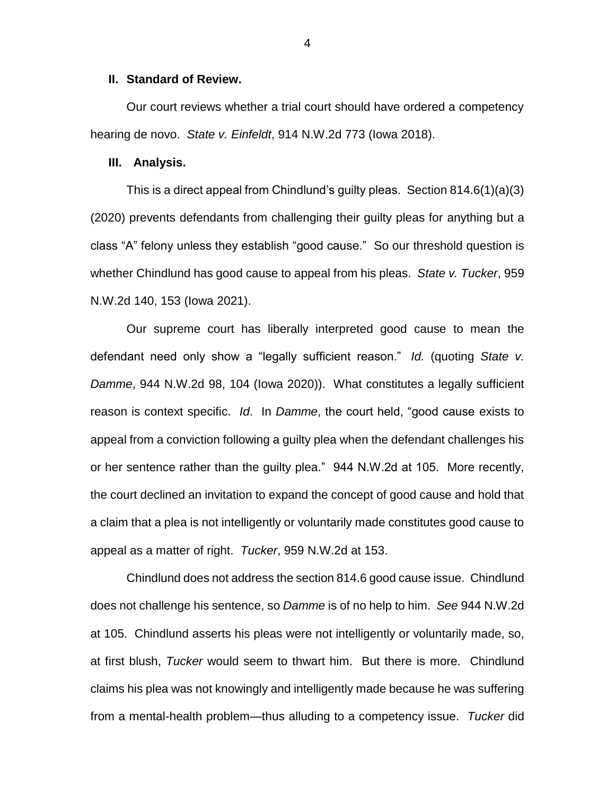### **II. Standard of Review.**

Our court reviews whether a trial court should have ordered a competency hearing de novo. *State v. Einfeldt*, 914 N.W.2d 773 (Iowa 2018).

## **III. Analysis.**

This is a direct appeal from Chindlund's guilty pleas. Section 814.6(1)(a)(3) (2020) prevents defendants from challenging their guilty pleas for anything but a class "A" felony unless they establish "good cause." So our threshold question is whether Chindlund has good cause to appeal from his pleas. *State v. Tucker*, 959 N.W.2d 140, 153 (Iowa 2021).

Our supreme court has liberally interpreted good cause to mean the defendant need only show a "legally sufficient reason." *Id.* (quoting *State v. Damme*, 944 N.W.2d 98, 104 (Iowa 2020)). What constitutes a legally sufficient reason is context specific. *Id*. In *Damme*, the court held, "good cause exists to appeal from a conviction following a guilty plea when the defendant challenges his or her sentence rather than the guilty plea." 944 N.W.2d at 105. More recently, the court declined an invitation to expand the concept of good cause and hold that a claim that a plea is not intelligently or voluntarily made constitutes good cause to appeal as a matter of right. *Tucker*, 959 N.W.2d at 153.

Chindlund does not address the section 814.6 good cause issue. Chindlund does not challenge his sentence, so *Damme* is of no help to him. *See* 944 N.W.2d at 105. Chindlund asserts his pleas were not intelligently or voluntarily made, so, at first blush, *Tucker* would seem to thwart him. But there is more. Chindlund claims his plea was not knowingly and intelligently made because he was suffering from a mental-health problem—thus alluding to a competency issue. *Tucker* did

4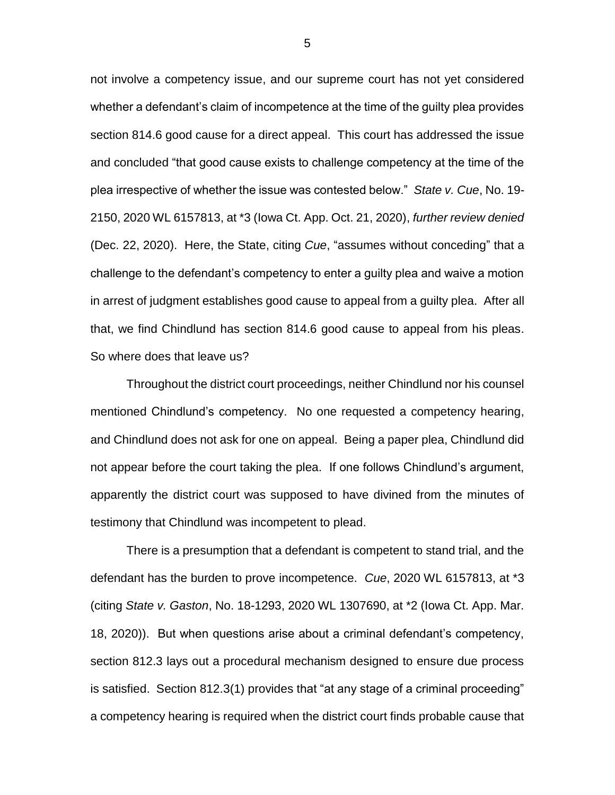not involve a competency issue, and our supreme court has not yet considered whether a defendant's claim of incompetence at the time of the guilty plea provides section 814.6 good cause for a direct appeal. This court has addressed the issue and concluded "that good cause exists to challenge competency at the time of the plea irrespective of whether the issue was contested below." *State v. Cue*, No. 19- 2150, 2020 WL 6157813, at \*3 (Iowa Ct. App. Oct. 21, 2020), *further review denied* (Dec. 22, 2020). Here, the State, citing *Cue*, "assumes without conceding" that a challenge to the defendant's competency to enter a guilty plea and waive a motion in arrest of judgment establishes good cause to appeal from a guilty plea. After all that, we find Chindlund has section 814.6 good cause to appeal from his pleas. So where does that leave us?

Throughout the district court proceedings, neither Chindlund nor his counsel mentioned Chindlund's competency. No one requested a competency hearing, and Chindlund does not ask for one on appeal. Being a paper plea, Chindlund did not appear before the court taking the plea. If one follows Chindlund's argument, apparently the district court was supposed to have divined from the minutes of testimony that Chindlund was incompetent to plead.

There is a presumption that a defendant is competent to stand trial, and the defendant has the burden to prove incompetence. *Cue*, 2020 WL 6157813, at \*3 (citing *State v. Gaston*, No. 18-1293, 2020 WL 1307690, at \*2 (Iowa Ct. App. Mar. 18, 2020)). But when questions arise about a criminal defendant's competency, section 812.3 lays out a procedural mechanism designed to ensure due process is satisfied. Section 812.3(1) provides that "at any stage of a criminal proceeding" a competency hearing is required when the district court finds probable cause that

5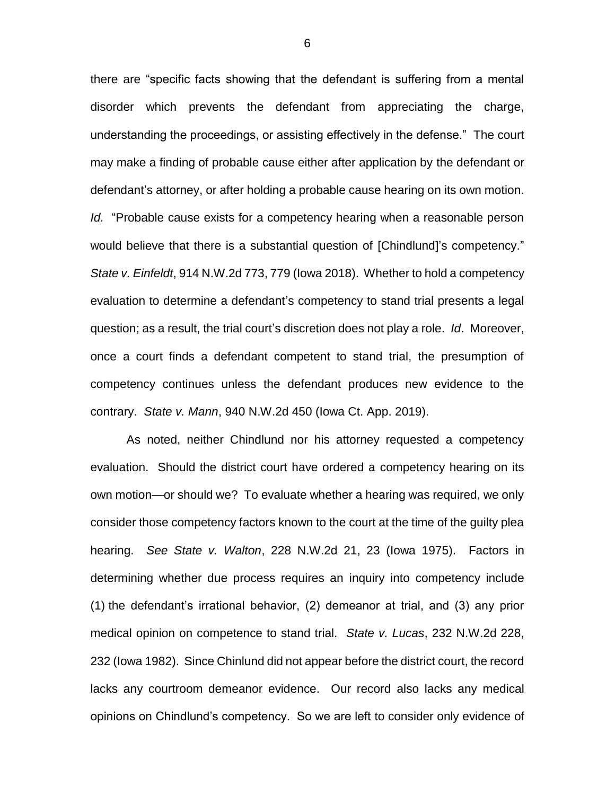there are "specific facts showing that the defendant is suffering from a mental disorder which prevents the defendant from appreciating the charge, understanding the proceedings, or assisting effectively in the defense." The court may make a finding of probable cause either after application by the defendant or defendant's attorney, or after holding a probable cause hearing on its own motion. *Id.* "Probable cause exists for a competency hearing when a reasonable person would believe that there is a substantial question of [Chindlund]'s competency." *State v. Einfeldt*, 914 N.W.2d 773, 779 (Iowa 2018). Whether to hold a competency evaluation to determine a defendant's competency to stand trial presents a legal question; as a result, the trial court's discretion does not play a role. *Id*. Moreover, once a court finds a defendant competent to stand trial, the presumption of competency continues unless the defendant produces new evidence to the contrary. *State v. Mann*, 940 N.W.2d 450 (Iowa Ct. App. 2019).

As noted, neither Chindlund nor his attorney requested a competency evaluation. Should the district court have ordered a competency hearing on its own motion—or should we? To evaluate whether a hearing was required, we only consider those competency factors known to the court at the time of the guilty plea hearing. *See State v. Walton*, 228 N.W.2d 21, 23 (Iowa 1975). Factors in determining whether due process requires an inquiry into competency include (1) the defendant's irrational behavior, (2) demeanor at trial, and (3) any prior medical opinion on competence to stand trial. *State v. Lucas*, 232 N.W.2d 228, 232 (Iowa 1982). Since Chinlund did not appear before the district court, the record lacks any courtroom demeanor evidence. Our record also lacks any medical opinions on Chindlund's competency. So we are left to consider only evidence of